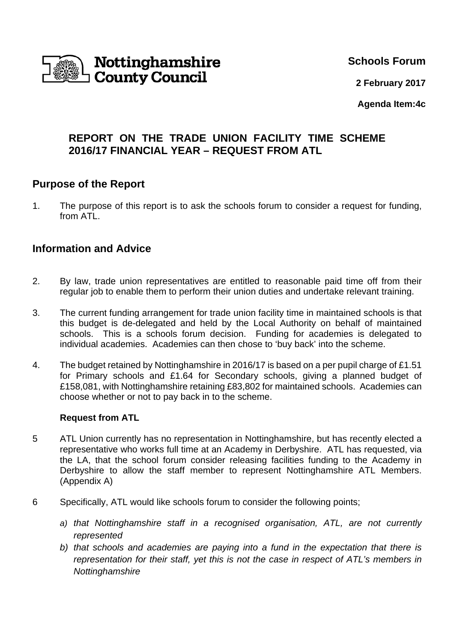

**Schools Forum**

**2 February 2017**

**Agenda Item:4c** 

# **REPORT ON THE TRADE UNION FACILITY TIME SCHEME 2016/17 FINANCIAL YEAR – REQUEST FROM ATL**

## **Purpose of the Report**

1. The purpose of this report is to ask the schools forum to consider a request for funding, from ATL.

## **Information and Advice**

- 2. By law, trade union representatives are entitled to reasonable paid time off from their regular job to enable them to perform their union duties and undertake relevant training.
- 3. The current funding arrangement for trade union facility time in maintained schools is that this budget is de-delegated and held by the Local Authority on behalf of maintained schools. This is a schools forum decision. Funding for academies is delegated to individual academies. Academies can then chose to 'buy back' into the scheme.
- 4. The budget retained by Nottinghamshire in 2016/17 is based on a per pupil charge of £1.51 for Primary schools and £1.64 for Secondary schools, giving a planned budget of £158,081, with Nottinghamshire retaining £83,802 for maintained schools. Academies can choose whether or not to pay back in to the scheme.

#### **Request from ATL**

- 5 ATL Union currently has no representation in Nottinghamshire, but has recently elected a representative who works full time at an Academy in Derbyshire. ATL has requested, via the LA, that the school forum consider releasing facilities funding to the Academy in Derbyshire to allow the staff member to represent Nottinghamshire ATL Members. (Appendix A)
- 6 Specifically, ATL would like schools forum to consider the following points;
	- *a) that Nottinghamshire staff in a recognised organisation, ATL, are not currently represented*
	- *b) that schools and academies are paying into a fund in the expectation that there is representation for their staff, yet this is not the case in respect of ATL's members in Nottinghamshire*